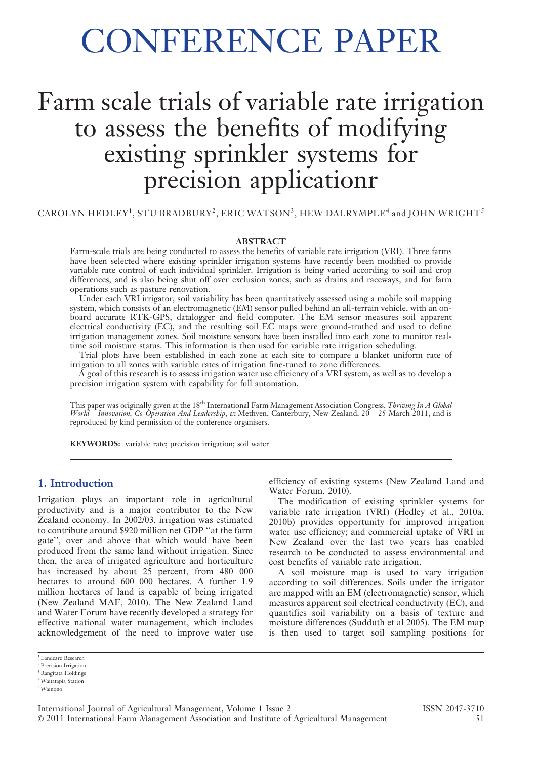# CONFERENCE PAPER

# Farm scale trials of variable rate irrigation to assess the benefits of modifying existing sprinkler systems for precision applicationr

CAROLYN HEDLEY<sup>1</sup>, STU BRADBURY<sup>2</sup>, ERIC WATSON<sup>3</sup>, HEW DALRYMPLE<sup>4</sup> and JOHN WRIGHT<sup>5</sup>

#### **ABSTRACT**

Farm-scale trials are being conducted to assess the benefits of variable rate irrigation (VRI). Three farms have been selected where existing sprinkler irrigation systems have recently been modified to provide variable rate control of each individual sprinkler. Irrigation is being varied according to soil and crop differences, and is also being shut off over exclusion zones, such as drains and raceways, and for farm operations such as pasture renovation.

Under each VRI irrigator, soil variability has been quantitatively assessed using a mobile soil mapping system, which consists of an electromagnetic (EM) sensor pulled behind an all-terrain vehicle, with an onboard accurate RTK-GPS, datalogger and field computer. The EM sensor measures soil apparent electrical conductivity (EC), and the resulting soil EC maps were ground-truthed and used to define irrigation management zones. Soil moisture sensors have been installed into each zone to monitor realtime soil moisture status. This information is then used for variable rate irrigation scheduling.

Trial plots have been established in each zone at each site to compare a blanket uniform rate of irrigation to all zones with variable rates of irrigation fine-tuned to zone differences.

A goal of this research is to assess irrigation water use efficiency of a VRI system, as well as to develop a precision irrigation system with capability for full automation.

This paper was originally given at the 18<sup>th</sup> International Farm Management Association Congress, *Thriving In A Global* World – Innovation, Co-Operation And Leadership, at Methven, Canterbury, New Zealand,  $20-25$  March 2011, and is reproduced by kind permission of the conference organisers.

KEYWORDS: variable rate; precision irrigation; soil water

# 1. Introduction

Irrigation plays an important role in agricultural productivity and is a major contributor to the New Zealand economy. In 2002/03, irrigation was estimated to contribute around \$920 million net GDP ''at the farm gate'', over and above that which would have been produced from the same land without irrigation. Since then, the area of irrigated agriculture and horticulture has increased by about 25 percent, from 480 000 hectares to around 600 000 hectares. A further 1.9 million hectares of land is capable of being irrigated (New Zealand MAF, 2010). The New Zealand Land and Water Forum have recently developed a strategy for effective national water management, which includes acknowledgement of the need to improve water use

efficiency of existing systems (New Zealand Land and Water Forum, 2010).

The modification of existing sprinkler systems for variable rate irrigation (VRI) (Hedley et al., 2010a, 2010b) provides opportunity for improved irrigation water use efficiency; and commercial uptake of VRI in New Zealand over the last two years has enabled research to be conducted to assess environmental and cost benefits of variable rate irrigation.

A soil moisture map is used to vary irrigation according to soil differences. Soils under the irrigator are mapped with an EM (electromagnetic) sensor, which measures apparent soil electrical conductivity (EC), and quantifies soil variability on a basis of texture and moisture differences (Sudduth et al 2005). The EM map is then used to target soil sampling positions for

<sup>&</sup>lt;sup>1</sup> Landcare Research

<sup>2</sup> Precision Irrigation <sup>3</sup> Rangitata Holdings

<sup>4</sup>Waitatapia Station

<sup>5</sup>Wainono

International Journal of Agricultural Management, Volume 1 Issue 2 ISSN 2047-3710 ' 2011 International Farm Management Association and Institute of Agricultural Management 51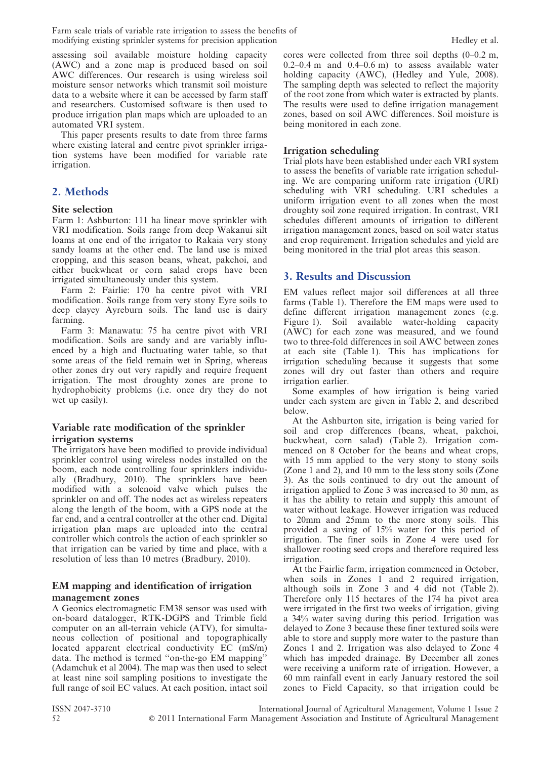Farm scale trials of variable rate irrigation to assess the benefits of modifying existing sprinkler systems for precision application **Hedley et al.** Hedley et al.

assessing soil available moisture holding capacity (AWC) and a zone map is produced based on soil AWC differences. Our research is using wireless soil moisture sensor networks which transmit soil moisture data to a website where it can be accessed by farm staff and researchers. Customised software is then used to produce irrigation plan maps which are uploaded to an automated VRI system.

This paper presents results to date from three farms where existing lateral and centre pivot sprinkler irrigation systems have been modified for variable rate irrigation.

# 2. Methods

### Site selection

Farm 1: Ashburton: 111 ha linear move sprinkler with VRI modification. Soils range from deep Wakanui silt loams at one end of the irrigator to Rakaia very stony sandy loams at the other end. The land use is mixed cropping, and this season beans, wheat, pakchoi, and either buckwheat or corn salad crops have been irrigated simultaneously under this system.

Farm 2: Fairlie: 170 ha centre pivot with VRI modification. Soils range from very stony Eyre soils to deep clayey Ayreburn soils. The land use is dairy farming.

Farm 3: Manawatu: 75 ha centre pivot with VRI modification. Soils are sandy and are variably influenced by a high and fluctuating water table, so that some areas of the field remain wet in Spring, whereas other zones dry out very rapidly and require frequent irrigation. The most droughty zones are prone to hydrophobicity problems (i.e. once dry they do not wet up easily).

### Variable rate modification of the sprinkler irrigation systems

The irrigators have been modified to provide individual sprinkler control using wireless nodes installed on the boom, each node controlling four sprinklers individually (Bradbury, 2010). The sprinklers have been modified with a solenoid valve which pulses the sprinkler on and off. The nodes act as wireless repeaters along the length of the boom, with a GPS node at the far end, and a central controller at the other end. Digital irrigation plan maps are uploaded into the central controller which controls the action of each sprinkler so that irrigation can be varied by time and place, with a resolution of less than 10 metres (Bradbury, 2010).

#### EM mapping and identification of irrigation management zones

A Geonics electromagnetic EM38 sensor was used with on-board datalogger, RTK-DGPS and Trimble field computer on an all-terrain vehicle (ATV), for simultaneous collection of positional and topographically located apparent electrical conductivity EC (mS/m) data. The method is termed ''on-the-go EM mapping'' (Adamchuk et al 2004). The map was then used to select at least nine soil sampling positions to investigate the full range of soil EC values. At each position, intact soil cores were collected from three soil depths (0–0.2 m,  $0.2-0.4$  m and  $0.4-0.6$  m) to assess available water holding capacity (AWC), (Hedley and Yule, 2008). The sampling depth was selected to reflect the majority of the root zone from which water is extracted by plants. The results were used to define irrigation management zones, based on soil AWC differences. Soil moisture is being monitored in each zone.

# Irrigation scheduling

Trial plots have been established under each VRI system to assess the benefits of variable rate irrigation scheduling. We are comparing uniform rate irrigation (URI) scheduling with VRI scheduling. URI schedules a uniform irrigation event to all zones when the most droughty soil zone required irrigation. In contrast, VRI schedules different amounts of irrigation to different irrigation management zones, based on soil water status and crop requirement. Irrigation schedules and yield are being monitored in the trial plot areas this season.

# 3. Results and Discussion

EM values reflect major soil differences at all three farms (Table 1). Therefore the EM maps were used to define different irrigation management zones (e.g. Figure 1). Soil available water-holding capacity (AWC) for each zone was measured, and we found two to three-fold differences in soil AWC between zones at each site (Table 1). This has implications for irrigation scheduling because it suggests that some zones will dry out faster than others and require irrigation earlier.

Some examples of how irrigation is being varied under each system are given in Table 2, and described below.

At the Ashburton site, irrigation is being varied for soil and crop differences (beans, wheat, pakchoi, buckwheat, corn salad) (Table 2). Irrigation commenced on 8 October for the beans and wheat crops, with 15 mm applied to the very stony to stony soils (Zone 1 and 2), and 10 mm to the less stony soils (Zone 3). As the soils continued to dry out the amount of irrigation applied to Zone 3 was increased to 30 mm, as it has the ability to retain and supply this amount of water without leakage. However irrigation was reduced to 20mm and 25mm to the more stony soils. This provided a saving of 15% water for this period of irrigation. The finer soils in Zone 4 were used for shallower rooting seed crops and therefore required less irrigation.

At the Fairlie farm, irrigation commenced in October, when soils in Zones 1 and 2 required irrigation, although soils in Zone 3 and 4 did not (Table 2). Therefore only 115 hectares of the 174 ha pivot area were irrigated in the first two weeks of irrigation, giving a 34% water saving during this period. Irrigation was delayed to Zone 3 because these finer textured soils were able to store and supply more water to the pasture than Zones 1 and 2. Irrigation was also delayed to Zone 4 which has impeded drainage. By December all zones were receiving a uniform rate of irrigation. However, a 60 mm rainfall event in early January restored the soil zones to Field Capacity, so that irrigation could be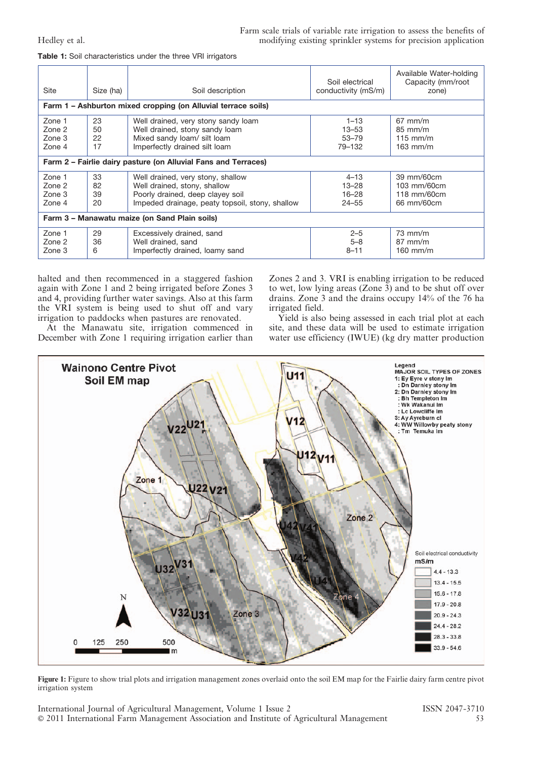| <b>Table 1:</b> Soil characteristics under the three VRI irrigators |  |  |  |  |
|---------------------------------------------------------------------|--|--|--|--|
|---------------------------------------------------------------------|--|--|--|--|

| <b>Site</b>                                                    | Size (ha)            | Soil description                                                                                                                                         | Soil electrical<br>conductivity (mS/m)          | Available Water-holding<br>Capacity (mm/root<br>zone)  |  |  |
|----------------------------------------------------------------|----------------------|----------------------------------------------------------------------------------------------------------------------------------------------------------|-------------------------------------------------|--------------------------------------------------------|--|--|
| Farm 1 – Ashburton mixed cropping (on Alluvial terrace soils)  |                      |                                                                                                                                                          |                                                 |                                                        |  |  |
| Zone 1<br>Zone 2<br>Zone 3<br>Zone 4                           | 23<br>50<br>22<br>17 | Well drained, very stony sandy loam<br>Well drained, stony sandy loam<br>Mixed sandy loam/ silt loam<br>Imperfectly drained silt loam                    | $1 - 13$<br>$13 - 53$<br>$53 - 79$<br>79-132    | $67$ mm/m<br>$85$ mm/m<br>$115$ mm/m<br>$163$ mm/m     |  |  |
| Farm 2 - Fairlie dairy pasture (on Alluvial Fans and Terraces) |                      |                                                                                                                                                          |                                                 |                                                        |  |  |
| Zone 1<br>Zone 2<br>Zone 3<br>Zone 4                           | 33<br>82<br>39<br>20 | Well drained, very stony, shallow<br>Well drained, stony, shallow<br>Poorly drained, deep clayey soil<br>Impeded drainage, peaty topsoil, stony, shallow | $4 - 13$<br>$13 - 28$<br>$16 - 28$<br>$24 - 55$ | 39 mm/60cm<br>103 mm/60cm<br>118 mm/60cm<br>66 mm/60cm |  |  |
| Farm 3 - Manawatu maize (on Sand Plain soils)                  |                      |                                                                                                                                                          |                                                 |                                                        |  |  |
| Zone 1<br>Zone 2<br>Zone 3                                     | 29<br>36<br>6        | Excessively drained, sand<br>Well drained, sand<br>Imperfectly drained, loamy sand                                                                       | $2 - 5$<br>$5 - 8$<br>$8 - 11$                  | $73$ mm/m<br>$87$ mm/m<br>$160$ mm/m                   |  |  |

halted and then recommenced in a staggered fashion again with Zone 1 and 2 being irrigated before Zones 3 and 4, providing further water savings. Also at this farm the VRI system is being used to shut off and vary irrigation to paddocks when pastures are renovated.

At the Manawatu site, irrigation commenced in December with Zone 1 requiring irrigation earlier than Zones 2 and 3. VRI is enabling irrigation to be reduced to wet, low lying areas (Zone 3) and to be shut off over drains. Zone 3 and the drains occupy 14% of the 76 ha irrigated field.

Yield is also being assessed in each trial plot at each site, and these data will be used to estimate irrigation water use efficiency (IWUE) (kg dry matter production



Figure 1: Figure to show trial plots and irrigation management zones overlaid onto the soil EM map for the Fairlie dairy farm centre pivot irrigation system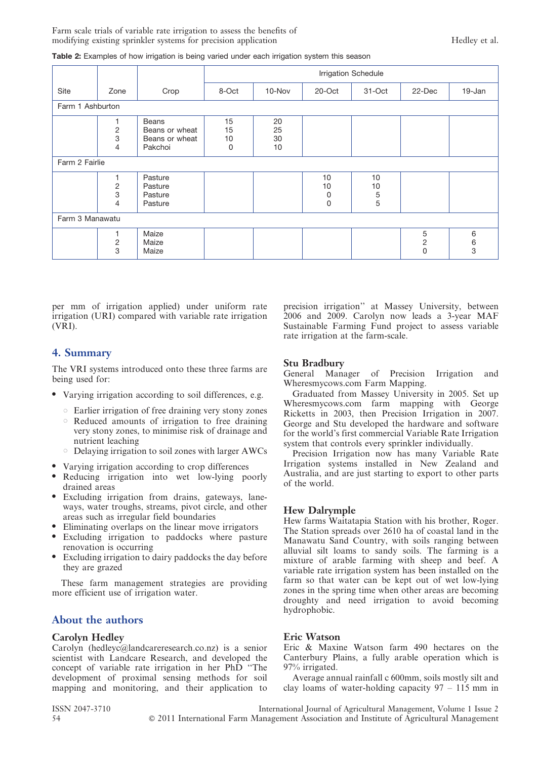|                  |                          |                                                      | Irrigation Schedule |                      |                    |                    |                                    |             |
|------------------|--------------------------|------------------------------------------------------|---------------------|----------------------|--------------------|--------------------|------------------------------------|-------------|
| Site             | Zone                     | Crop                                                 | 8-Oct               | 10-Nov               | 20-Oct             | 31-Oct             | 22-Dec                             | 19-Jan      |
| Farm 1 Ashburton |                          |                                                      |                     |                      |                    |                    |                                    |             |
|                  | $\frac{2}{3}$<br>4       | Beans<br>Beans or wheat<br>Beans or wheat<br>Pakchoi | 15<br>15<br>10<br>0 | 20<br>25<br>30<br>10 |                    |                    |                                    |             |
| Farm 2 Fairlie   |                          |                                                      |                     |                      |                    |                    |                                    |             |
|                  | 1<br>$\frac{2}{3}$<br>4  | Pasture<br>Pasture<br>Pasture<br>Pasture             |                     |                      | 10<br>10<br>0<br>0 | 10<br>10<br>5<br>5 |                                    |             |
| Farm 3 Manawatu  |                          |                                                      |                     |                      |                    |                    |                                    |             |
|                  | 1<br>$\overline{c}$<br>3 | Maize<br>Maize<br>Maize                              |                     |                      |                    |                    | 5<br>$\overline{c}$<br>$\mathsf 0$ | 6<br>6<br>3 |

per mm of irrigation applied) under uniform rate irrigation (URI) compared with variable rate irrigation (VRI).

# 4. Summary

The VRI systems introduced onto these three farms are being used for:

- Varying irrigation according to soil differences, e.g.
	- $\circ$  Earlier irrigation of free draining very stony zones
	- $\circ$  Reduced amounts of irrigation to free draining very stony zones, to minimise risk of drainage and nutrient leaching
	- $\circ$  Delaying irrigation to soil zones with larger AWCs
- Varying irrigation according to crop differences
- Reducing irrigation into wet low-lying poorly drained areas
- $\bullet$  Excluding irrigation from drains, gateways, laneways, water troughs, streams, pivot circle, and other areas such as irregular field boundaries
- Eliminating overlaps on the linear move irrigators
- $\bullet$  Excluding irrigation to paddocks where pasture renovation is occurring
- Excluding irrigation to dairy paddocks the day before they are grazed

These farm management strategies are providing more efficient use of irrigation water.

# About the authors

# Carolyn Hedley

Carolyn (hedleyc@landcareresearch.co.nz) is a senior scientist with Landcare Research, and developed the concept of variable rate irrigation in her PhD ''The development of proximal sensing methods for soil mapping and monitoring, and their application to precision irrigation'' at Massey University, between 2006 and 2009. Carolyn now leads a 3-year MAF Sustainable Farming Fund project to assess variable rate irrigation at the farm-scale.

### Stu Bradbury

General Manager of Precision Irrigation and Wheresmycows.com Farm Mapping.

Graduated from Massey University in 2005. Set up Wheresmycows.com farm mapping with George Ricketts in 2003, then Precision Irrigation in 2007. George and Stu developed the hardware and software for the world's first commercial Variable Rate Irrigation system that controls every sprinkler individually.

Precision Irrigation now has many Variable Rate Irrigation systems installed in New Zealand and Australia, and are just starting to export to other parts of the world.

# Hew Dalrymple

Hew farms Waitatapia Station with his brother, Roger. The Station spreads over 2610 ha of coastal land in the Manawatu Sand Country, with soils ranging between alluvial silt loams to sandy soils. The farming is a mixture of arable farming with sheep and beef. A variable rate irrigation system has been installed on the farm so that water can be kept out of wet low-lying zones in the spring time when other areas are becoming droughty and need irrigation to avoid becoming hydrophobic.

# Eric Watson

Eric & Maxine Watson farm 490 hectares on the Canterbury Plains, a fully arable operation which is 97% irrigated.

Average annual rainfall c 600mm, soils mostly silt and clay loams of water-holding capacity 97 – 115 mm in

ISSN 2047-3710 International Journal of Agricultural Management, Volume 1 Issue 2 54 ' 2011 International Farm Management Association and Institute of Agricultural Management